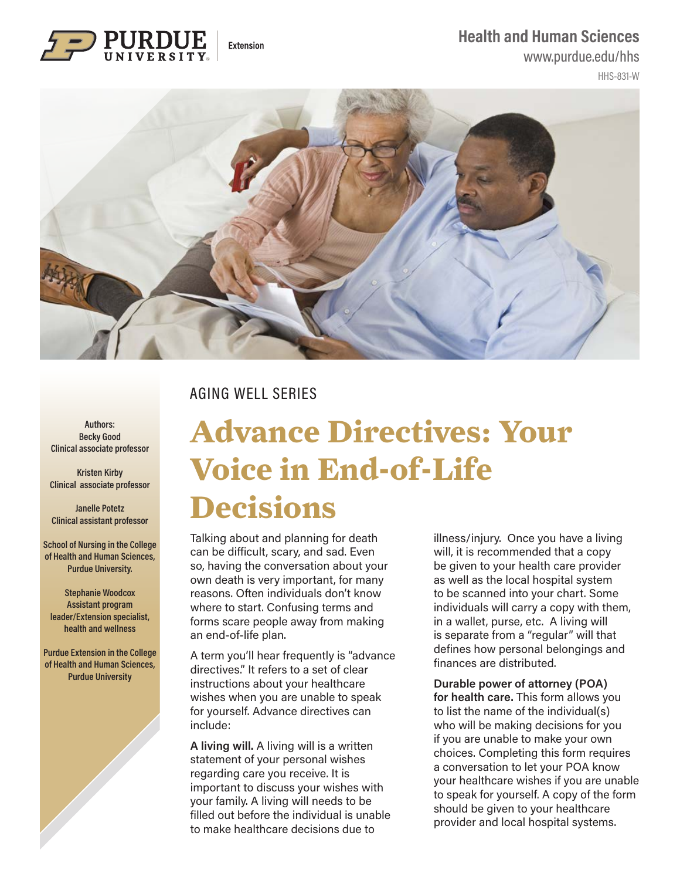#### **Health and Human Sciences**



#### www.purdue.edu/hhs

HHS-831-W



## AGING WELL SERIES

**Authors: Becky Good Clinical associate professor**

**Kristen Kirby Clinical associate professor**

**Janelle Potetz Clinical assistant professor**

**School of Nursing in the College of Health and Human Sciences, Purdue University.** 

**Stephanie Woodcox Assistant program leader/Extension specialist, health and wellness**

**Purdue Extension in the College of Health and Human Sciences, Purdue University**

# **Advance Directives: Your Voice in End-of-Life Decisions**

Talking about and planning for death can be difficult, scary, and sad. Even so, having the conversation about your own death is very important, for many reasons. Often individuals don't know where to start. Confusing terms and forms scare people away from making an end-of-life plan.

A term you'll hear frequently is "advance directives." It refers to a set of clear instructions about your healthcare wishes when you are unable to speak for yourself. Advance directives can include:

**A living will.** A living will is a written statement of your personal wishes regarding care you receive. It is important to discuss your wishes with your family. A living will needs to be filled out before the individual is unable to make healthcare decisions due to

illness/injury. Once you have a living will, it is recommended that a copy be given to your health care provider as well as the local hospital system to be scanned into your chart. Some individuals will carry a copy with them, in a wallet, purse, etc. A living will is separate from a "regular" will that defines how personal belongings and finances are distributed.

#### **Durable power of attorney (POA) for health care.** This form allows you to list the name of the individual(s) who will be making decisions for you if you are unable to make your own choices. Completing this form requires a conversation to let your POA know your healthcare wishes if you are unable to speak for yourself. A copy of the form should be given to your healthcare provider and local hospital systems.